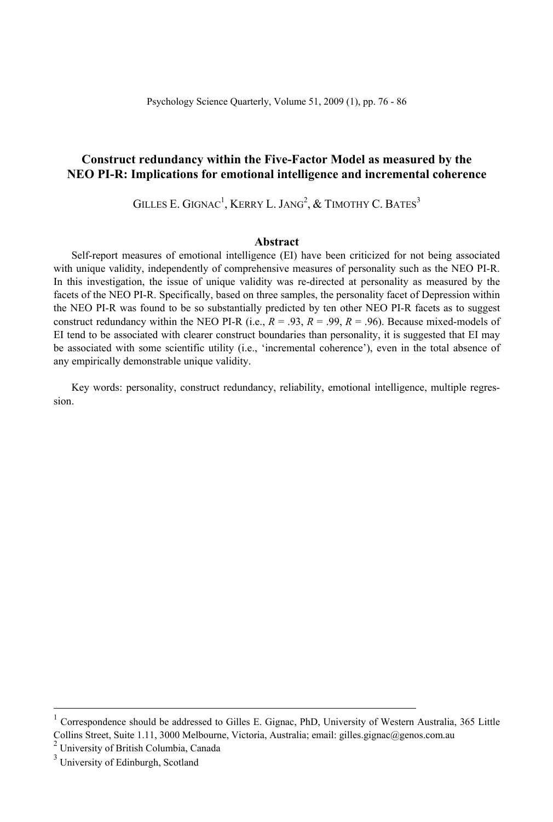# **Construct redundancy within the Five-Factor Model as measured by the NEO PI-R: Implications for emotional intelligence and incremental coherence**

GILLES E. GIGNAC<sup>1</sup>, KERRY L. JANG<sup>2</sup>,  $\&$  TIMOTHY C. BATES $^3$ 

# **Abstract**

Self-report measures of emotional intelligence (EI) have been criticized for not being associated with unique validity, independently of comprehensive measures of personality such as the NEO PI-R. In this investigation, the issue of unique validity was re-directed at personality as measured by the facets of the NEO PI-R. Specifically, based on three samples, the personality facet of Depression within the NEO PI-R was found to be so substantially predicted by ten other NEO PI-R facets as to suggest construct redundancy within the NEO PI-R (i.e.,  $R = .93$ ,  $R = .99$ ,  $R = .96$ ). Because mixed-models of EI tend to be associated with clearer construct boundaries than personality, it is suggested that EI may be associated with some scientific utility (i.e., 'incremental coherence'), even in the total absence of any empirically demonstrable unique validity.

Key words: personality, construct redundancy, reliability, emotional intelligence, multiple regression.

<sup>|&</sup>lt;br>| Correspondence should be addressed to Gilles E. Gignac, PhD, University of Western Australia, 365 Little Collins Street, Suite 1.11, 3000 Melbourne, Victoria, Australia; email: gilles.gignac@genos.com.au 2

 $2$  University of British Columbia, Canada

<sup>&</sup>lt;sup>3</sup> University of Edinburgh, Scotland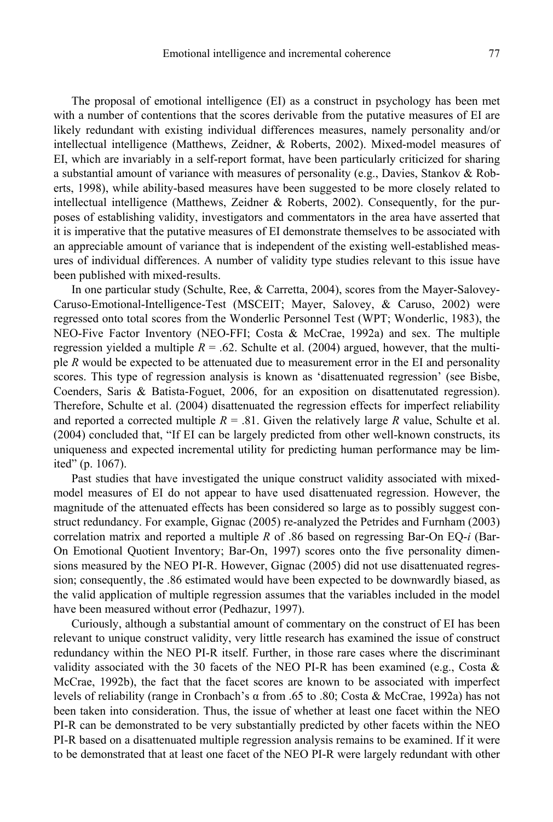The proposal of emotional intelligence (EI) as a construct in psychology has been met with a number of contentions that the scores derivable from the putative measures of EI are likely redundant with existing individual differences measures, namely personality and/or intellectual intelligence (Matthews, Zeidner, & Roberts, 2002). Mixed-model measures of EI, which are invariably in a self-report format, have been particularly criticized for sharing a substantial amount of variance with measures of personality (e.g., Davies, Stankov & Roberts, 1998), while ability-based measures have been suggested to be more closely related to intellectual intelligence (Matthews, Zeidner & Roberts, 2002). Consequently, for the purposes of establishing validity, investigators and commentators in the area have asserted that it is imperative that the putative measures of EI demonstrate themselves to be associated with an appreciable amount of variance that is independent of the existing well-established measures of individual differences. A number of validity type studies relevant to this issue have been published with mixed-results.

In one particular study (Schulte, Ree, & Carretta, 2004), scores from the Mayer-Salovey-Caruso-Emotional-Intelligence-Test (MSCEIT; Mayer, Salovey, & Caruso, 2002) were regressed onto total scores from the Wonderlic Personnel Test (WPT; Wonderlic, 1983), the NEO-Five Factor Inventory (NEO-FFI; Costa & McCrae, 1992a) and sex. The multiple regression yielded a multiple  $R = .62$ . Schulte et al. (2004) argued, however, that the multiple *R* would be expected to be attenuated due to measurement error in the EI and personality scores. This type of regression analysis is known as 'disattenuated regression' (see Bisbe, Coenders, Saris & Batista-Foguet, 2006, for an exposition on disattenutated regression). Therefore, Schulte et al. (2004) disattenuated the regression effects for imperfect reliability and reported a corrected multiple  $R = .81$ . Given the relatively large R value, Schulte et al. (2004) concluded that, "If EI can be largely predicted from other well-known constructs, its uniqueness and expected incremental utility for predicting human performance may be limited" (p. 1067).

Past studies that have investigated the unique construct validity associated with mixedmodel measures of EI do not appear to have used disattenuated regression. However, the magnitude of the attenuated effects has been considered so large as to possibly suggest construct redundancy. For example, Gignac (2005) re-analyzed the Petrides and Furnham (2003) correlation matrix and reported a multiple *R* of .86 based on regressing Bar-On EQ-*i* (Bar-On Emotional Quotient Inventory; Bar-On, 1997) scores onto the five personality dimensions measured by the NEO PI-R. However, Gignac (2005) did not use disattenuated regression; consequently, the .86 estimated would have been expected to be downwardly biased, as the valid application of multiple regression assumes that the variables included in the model have been measured without error (Pedhazur, 1997).

Curiously, although a substantial amount of commentary on the construct of EI has been relevant to unique construct validity, very little research has examined the issue of construct redundancy within the NEO PI-R itself. Further, in those rare cases where the discriminant validity associated with the 30 facets of the NEO PI-R has been examined (e.g., Costa  $\&$ McCrae, 1992b), the fact that the facet scores are known to be associated with imperfect levels of reliability (range in Cronbach's α from .65 to .80; Costa & McCrae, 1992a) has not been taken into consideration. Thus, the issue of whether at least one facet within the NEO PI-R can be demonstrated to be very substantially predicted by other facets within the NEO PI-R based on a disattenuated multiple regression analysis remains to be examined. If it were to be demonstrated that at least one facet of the NEO PI-R were largely redundant with other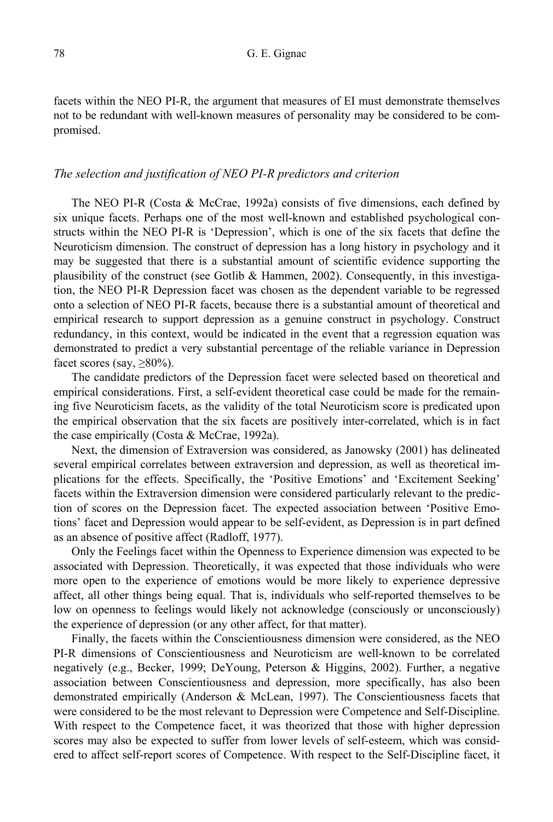facets within the NEO PI-R, the argument that measures of EI must demonstrate themselves not to be redundant with well-known measures of personality may be considered to be compromised.

# *The selection and justification of NEO PI-R predictors and criterion*

The NEO PI-R (Costa & McCrae, 1992a) consists of five dimensions, each defined by six unique facets. Perhaps one of the most well-known and established psychological constructs within the NEO PI-R is 'Depression', which is one of the six facets that define the Neuroticism dimension. The construct of depression has a long history in psychology and it may be suggested that there is a substantial amount of scientific evidence supporting the plausibility of the construct (see Gotlib & Hammen, 2002). Consequently, in this investigation, the NEO PI-R Depression facet was chosen as the dependent variable to be regressed onto a selection of NEO PI-R facets, because there is a substantial amount of theoretical and empirical research to support depression as a genuine construct in psychology. Construct redundancy, in this context, would be indicated in the event that a regression equation was demonstrated to predict a very substantial percentage of the reliable variance in Depression facet scores (say,  $\geq 80\%$ ).

The candidate predictors of the Depression facet were selected based on theoretical and empirical considerations. First, a self-evident theoretical case could be made for the remaining five Neuroticism facets, as the validity of the total Neuroticism score is predicated upon the empirical observation that the six facets are positively inter-correlated, which is in fact the case empirically (Costa & McCrae, 1992a).

Next, the dimension of Extraversion was considered, as Janowsky (2001) has delineated several empirical correlates between extraversion and depression, as well as theoretical implications for the effects. Specifically, the 'Positive Emotions' and 'Excitement Seeking' facets within the Extraversion dimension were considered particularly relevant to the prediction of scores on the Depression facet. The expected association between 'Positive Emotions' facet and Depression would appear to be self-evident, as Depression is in part defined as an absence of positive affect (Radloff, 1977).

Only the Feelings facet within the Openness to Experience dimension was expected to be associated with Depression. Theoretically, it was expected that those individuals who were more open to the experience of emotions would be more likely to experience depressive affect, all other things being equal. That is, individuals who self-reported themselves to be low on openness to feelings would likely not acknowledge (consciously or unconsciously) the experience of depression (or any other affect, for that matter).

Finally, the facets within the Conscientiousness dimension were considered, as the NEO PI-R dimensions of Conscientiousness and Neuroticism are well-known to be correlated negatively (e.g., Becker, 1999; DeYoung, Peterson & Higgins, 2002). Further, a negative association between Conscientiousness and depression, more specifically, has also been demonstrated empirically (Anderson & McLean, 1997). The Conscientiousness facets that were considered to be the most relevant to Depression were Competence and Self-Discipline. With respect to the Competence facet, it was theorized that those with higher depression scores may also be expected to suffer from lower levels of self-esteem, which was considered to affect self-report scores of Competence. With respect to the Self-Discipline facet, it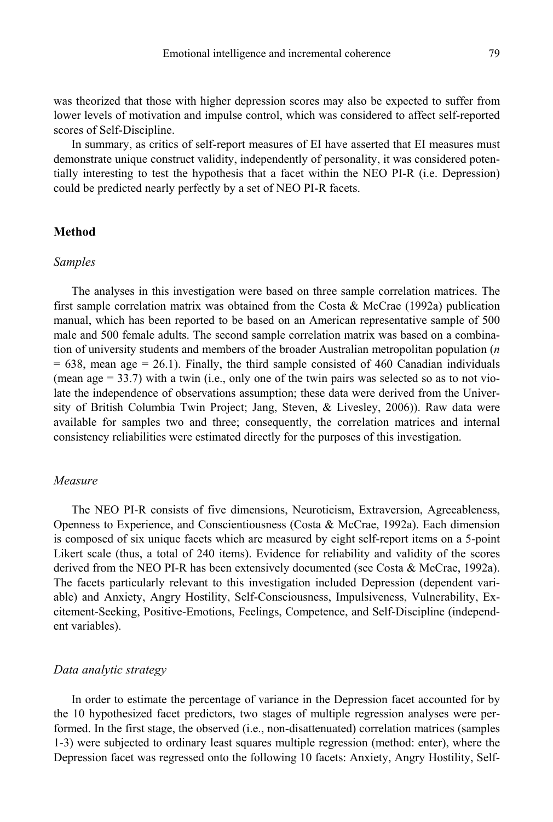was theorized that those with higher depression scores may also be expected to suffer from lower levels of motivation and impulse control, which was considered to affect self-reported scores of Self-Discipline.

In summary, as critics of self-report measures of EI have asserted that EI measures must demonstrate unique construct validity, independently of personality, it was considered potentially interesting to test the hypothesis that a facet within the NEO PI-R (i.e. Depression) could be predicted nearly perfectly by a set of NEO PI-R facets.

# **Method**

#### *Samples*

The analyses in this investigation were based on three sample correlation matrices. The first sample correlation matrix was obtained from the Costa & McCrae (1992a) publication manual, which has been reported to be based on an American representative sample of 500 male and 500 female adults. The second sample correlation matrix was based on a combination of university students and members of the broader Australian metropolitan population (*n*   $= 638$ , mean age  $= 26.1$ ). Finally, the third sample consisted of 460 Canadian individuals (mean age  $= 33.7$ ) with a twin (i.e., only one of the twin pairs was selected so as to not violate the independence of observations assumption; these data were derived from the University of British Columbia Twin Project; Jang, Steven, & Livesley, 2006)). Raw data were available for samples two and three; consequently, the correlation matrices and internal consistency reliabilities were estimated directly for the purposes of this investigation.

# *Measure*

The NEO PI-R consists of five dimensions, Neuroticism, Extraversion, Agreeableness, Openness to Experience, and Conscientiousness (Costa & McCrae, 1992a). Each dimension is composed of six unique facets which are measured by eight self-report items on a 5-point Likert scale (thus, a total of 240 items). Evidence for reliability and validity of the scores derived from the NEO PI-R has been extensively documented (see Costa & McCrae, 1992a). The facets particularly relevant to this investigation included Depression (dependent variable) and Anxiety, Angry Hostility, Self-Consciousness, Impulsiveness, Vulnerability, Excitement-Seeking, Positive-Emotions, Feelings, Competence, and Self-Discipline (independent variables).

### *Data analytic strategy*

In order to estimate the percentage of variance in the Depression facet accounted for by the 10 hypothesized facet predictors, two stages of multiple regression analyses were performed. In the first stage, the observed (i.e., non-disattenuated) correlation matrices (samples 1-3) were subjected to ordinary least squares multiple regression (method: enter), where the Depression facet was regressed onto the following 10 facets: Anxiety, Angry Hostility, Self-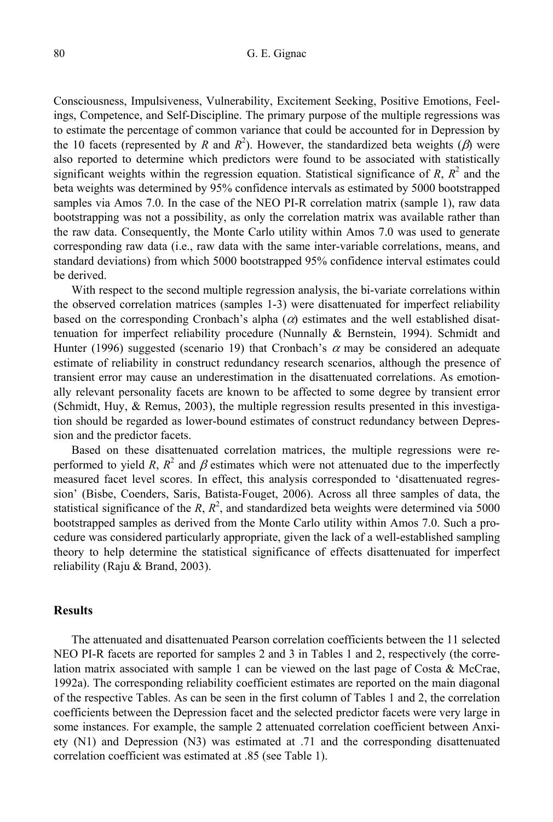#### 80 G. E. Gignac

Consciousness, Impulsiveness, Vulnerability, Excitement Seeking, Positive Emotions, Feelings, Competence, and Self-Discipline. The primary purpose of the multiple regressions was to estimate the percentage of common variance that could be accounted for in Depression by the 10 facets (represented by *R* and  $R^2$ ). However, the standardized beta weights ( $\beta$ ) were also reported to determine which predictors were found to be associated with statistically significant weights within the regression equation. Statistical significance of  $R$ ,  $R^2$  and the beta weights was determined by 95% confidence intervals as estimated by 5000 bootstrapped samples via Amos 7.0. In the case of the NEO PI-R correlation matrix (sample 1), raw data bootstrapping was not a possibility, as only the correlation matrix was available rather than the raw data. Consequently, the Monte Carlo utility within Amos 7.0 was used to generate corresponding raw data (i.e., raw data with the same inter-variable correlations, means, and standard deviations) from which 5000 bootstrapped 95% confidence interval estimates could be derived.

With respect to the second multiple regression analysis, the bi-variate correlations within the observed correlation matrices (samples 1-3) were disattenuated for imperfect reliability based on the corresponding Cronbach's alpha  $(\alpha)$  estimates and the well established disattenuation for imperfect reliability procedure (Nunnally & Bernstein, 1994). Schmidt and Hunter (1996) suggested (scenario 19) that Cronbach's  $\alpha$  may be considered an adequate estimate of reliability in construct redundancy research scenarios, although the presence of transient error may cause an underestimation in the disattenuated correlations. As emotionally relevant personality facets are known to be affected to some degree by transient error (Schmidt, Huy, & Remus, 2003), the multiple regression results presented in this investigation should be regarded as lower-bound estimates of construct redundancy between Depression and the predictor facets.

Based on these disattenuated correlation matrices, the multiple regressions were reperformed to yield *R*,  $R^2$  and  $\beta$  estimates which were not attenuated due to the imperfectly measured facet level scores. In effect, this analysis corresponded to 'disattenuated regression' (Bisbe, Coenders, Saris, Batista-Fouget, 2006). Across all three samples of data, the statistical significance of the  $R$ ,  $R^2$ , and standardized beta weights were determined via 5000 bootstrapped samples as derived from the Monte Carlo utility within Amos 7.0. Such a procedure was considered particularly appropriate, given the lack of a well-established sampling theory to help determine the statistical significance of effects disattenuated for imperfect reliability (Raju & Brand, 2003).

# **Results**

The attenuated and disattenuated Pearson correlation coefficients between the 11 selected NEO PI-R facets are reported for samples 2 and 3 in Tables 1 and 2, respectively (the correlation matrix associated with sample 1 can be viewed on the last page of Costa  $\&$  McCrae, 1992a). The corresponding reliability coefficient estimates are reported on the main diagonal of the respective Tables. As can be seen in the first column of Tables 1 and 2, the correlation coefficients between the Depression facet and the selected predictor facets were very large in some instances. For example, the sample 2 attenuated correlation coefficient between Anxiety (N1) and Depression (N3) was estimated at .71 and the corresponding disattenuated correlation coefficient was estimated at .85 (see Table 1).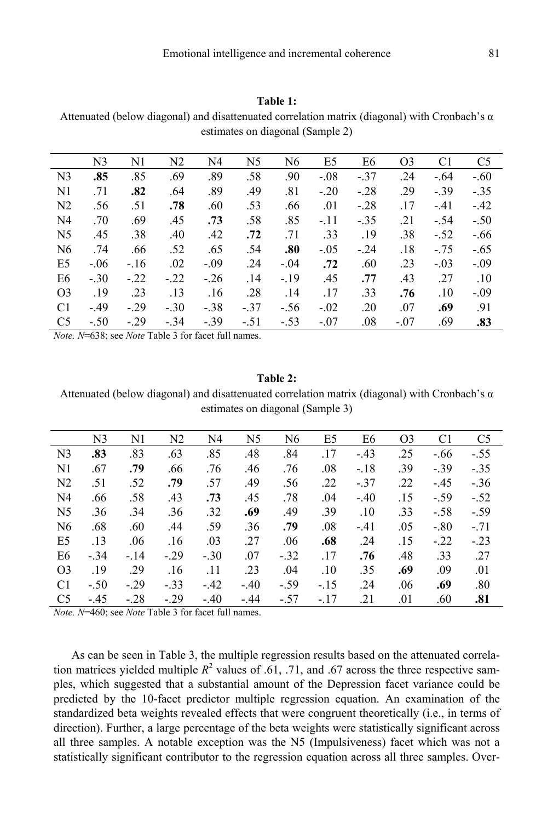#### **Table 1:**

Attenuated (below diagonal) and disattenuated correlation matrix (diagonal) with Cronbach's α estimates on diagonal (Sample 2)

|                | N <sub>3</sub> | N1     | N <sub>2</sub> | N4     | N <sub>5</sub> | N <sub>6</sub> | E <sub>5</sub> | E <sub>6</sub> | O <sub>3</sub> | C <sub>1</sub> | C <sub>5</sub> |
|----------------|----------------|--------|----------------|--------|----------------|----------------|----------------|----------------|----------------|----------------|----------------|
| N <sub>3</sub> | .85            | .85    | .69            | .89    | .58            | .90            | $-.08$         | $-.37$         | .24            | $-.64$         | $-.60$         |
| N1             | .71            | .82    | .64            | .89    | .49            | .81            | $-.20$         | $-.28$         | .29            | $-.39$         | $-.35$         |
| N <sub>2</sub> | .56            | .51    | .78            | .60    | .53            | .66            | .01            | $-.28$         | .17            | $-41$          | $-.42$         |
| N4             | .70            | .69    | .45            | .73    | .58            | .85            | $-.11$         | $-.35$         | .21            | $-.54$         | $-.50$         |
| N <sub>5</sub> | .45            | .38    | .40            | .42    | .72            | .71            | .33            | .19            | .38            | $-.52$         | $-.66$         |
| N <sub>6</sub> | .74            | .66    | .52            | .65    | .54            | .80            | $-.05$         | $-.24$         | .18            | $-.75$         | $-.65$         |
| E5             | $-.06$         | $-.16$ | .02            | $-.09$ | .24            | $-.04$         | .72            | .60            | .23            | $-.03$         | $-.09$         |
| E6             | $-.30$         | $-.22$ | $-.22$         | $-.26$ | .14            | $-.19$         | .45            | .77            | .43            | .27            | .10            |
| O <sub>3</sub> | .19            | .23    | .13            | .16    | .28            | .14            | .17            | .33            | .76            | .10            | $-.09$         |
| C <sub>1</sub> | $-.49$         | $-.29$ | $-.30$         | $-.38$ | $-.37$         | $-.56$         | $-.02$         | .20            | .07            | .69            | .91            |
| C <sub>5</sub> | $-.50$         | $-.29$ | $-.34$         | $-.39$ | $-.51$         | $-.53$         | $-.07$         | .08            | $-.07$         | .69            | .83            |
|                |                |        |                |        |                |                |                |                |                |                |                |

*Note. N*=638; see *Note* Table 3 for facet full names.

# **Table 2:**

Attenuated (below diagonal) and disattenuated correlation matrix (diagonal) with Cronbach's  $\alpha$ estimates on diagonal (Sample 3)

|                | N <sub>3</sub> | N1     | N2     | N4     | N <sub>5</sub> | N <sub>6</sub> | E5     | E <sub>6</sub> | O <sub>3</sub> | C <sub>1</sub> | C <sub>5</sub> |
|----------------|----------------|--------|--------|--------|----------------|----------------|--------|----------------|----------------|----------------|----------------|
| N <sub>3</sub> | .83            | .83    | .63    | .85    | .48            | .84            | .17    | $-.43$         | .25            | $-.66$         | $-.55$         |
| N1             | .67            | .79    | .66    | .76    | .46            | .76            | .08    | $-.18$         | .39            | $-.39$         | $-.35$         |
| N <sub>2</sub> | .51            | .52    | .79    | .57    | .49            | .56            | .22    | $-.37$         | .22            | $-45$          | $-.36$         |
| N4             | .66            | .58    | .43    | .73    | .45            | .78            | .04    | $-.40$         | .15            | $-.59$         | $-.52$         |
| N <sub>5</sub> | .36            | .34    | .36    | .32    | .69            | .49            | .39    | .10            | .33            | $-.58$         | $-.59$         |
| N <sub>6</sub> | .68            | .60    | .44    | .59    | .36            | .79            | .08    | $-41$          | .05            | $-.80$         | $-.71$         |
| E5             | .13            | .06    | .16    | .03    | .27            | .06            | .68    | .24            | .15            | $-.22$         | $-.23$         |
| E6             | $-.34$         | $-.14$ | $-.29$ | $-.30$ | .07            | $-.32$         | .17    | .76            | .48            | .33            | .27            |
| O <sub>3</sub> | .19            | .29    | .16    | .11    | .23            | .04            | .10    | .35            | .69            | .09            | .01            |
| C <sub>1</sub> | $-.50$         | $-.29$ | $-.33$ | $-42$  | $-.40$         | $-.59$         | $-.15$ | .24            | .06            | .69            | .80            |
| C <sub>5</sub> | $-45$          | $-.28$ | $-.29$ | $-.40$ | $-44$          | $-.57$         | $-.17$ | .21            | .01            | .60            | .81            |

*Note. N*=460; see *Note* Table 3 for facet full names.

As can be seen in Table 3, the multiple regression results based on the attenuated correlation matrices yielded multiple  $R^2$  values of .61, .71, and .67 across the three respective samples, which suggested that a substantial amount of the Depression facet variance could be predicted by the 10-facet predictor multiple regression equation. An examination of the standardized beta weights revealed effects that were congruent theoretically (i.e., in terms of direction). Further, a large percentage of the beta weights were statistically significant across all three samples. A notable exception was the N5 (Impulsiveness) facet which was not a statistically significant contributor to the regression equation across all three samples. Over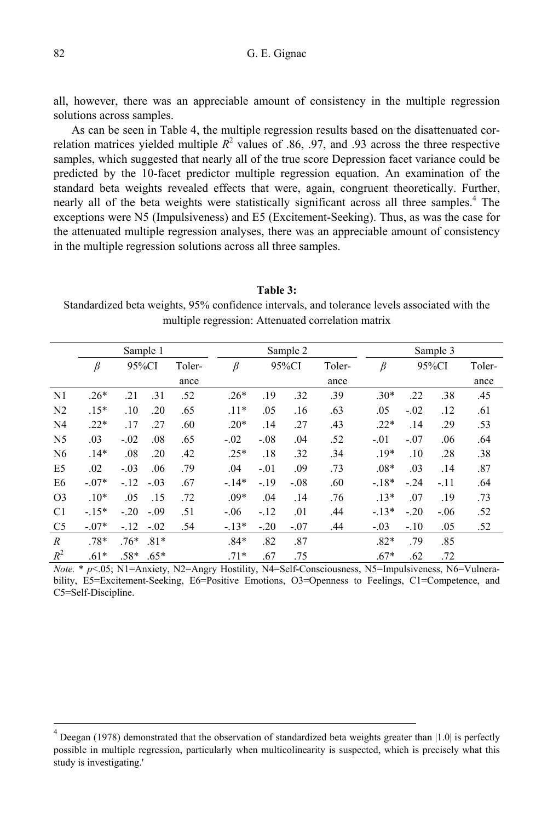all, however, there was an appreciable amount of consistency in the multiple regression solutions across samples.

As can be seen in Table 4, the multiple regression results based on the disattenuated correlation matrices yielded multiple  $R^2$  values of .86, .97, and .93 across the three respective samples, which suggested that nearly all of the true score Depression facet variance could be predicted by the 10-facet predictor multiple regression equation. An examination of the standard beta weights revealed effects that were, again, congruent theoretically. Further, nearly all of the beta weights were statistically significant across all three samples.<sup>4</sup> The exceptions were N5 (Impulsiveness) and E5 (Excitement-Seeking). Thus, as was the case for the attenuated multiple regression analyses, there was an appreciable amount of consistency in the multiple regression solutions across all three samples.

**Table 3:**  Standardized beta weights, 95% confidence intervals, and tolerance levels associated with the multiple regression: Attenuated correlation matrix

|                  |         |        | Sample 1 |        |         |        | Sample 2 |        | Sample 3 |        |        |        |  |
|------------------|---------|--------|----------|--------|---------|--------|----------|--------|----------|--------|--------|--------|--|
|                  | β       | 95%CI  |          | Toler- | β       | 95%CI  |          | Toler- | $\beta$  | 95%CI  |        | Toler- |  |
|                  |         |        |          | ance   |         |        |          | ance   |          |        |        | ance   |  |
| N <sub>1</sub>   | $.26*$  | .21    | .31      | .52    | $.26*$  | .19    | .32      | .39    | $.30*$   | .22    | .38    | .45    |  |
| N <sub>2</sub>   | $.15*$  | .10    | .20      | .65    | $.11*$  | .05    | .16      | .63    | .05      | $-.02$ | .12    | .61    |  |
| N <sub>4</sub>   | $.22*$  | .17    | .27      | .60    | $.20*$  | .14    | .27      | .43    | $.22*$   | .14    | .29    | .53    |  |
| N <sub>5</sub>   | .03     | $-.02$ | .08      | .65    | $-.02$  | $-.08$ | .04      | .52    | $-.01$   | $-.07$ | .06    | .64    |  |
| N <sub>6</sub>   | $.14*$  | .08    | .20      | .42    | $.25*$  | .18    | .32      | .34    | $.19*$   | .10    | .28    | .38    |  |
| E <sub>5</sub>   | .02     | $-.03$ | .06      | .79    | .04     | $-.01$ | .09      | .73    | $.08*$   | .03    | .14    | .87    |  |
| E <sub>6</sub>   | $-.07*$ | $-.12$ | $-.03$   | .67    | $-14*$  | $-.19$ | $-.08$   | .60    | $-.18*$  | $-.24$ | $-11$  | .64    |  |
| O <sub>3</sub>   | $.10*$  | .05    | .15      | .72    | $.09*$  | .04    | .14      | .76    | $.13*$   | .07    | .19    | .73    |  |
| C <sub>1</sub>   | $-.15*$ | $-.20$ | $-.09$   | .51    | $-.06$  | $-.12$ | .01      | .44    | $-.13*$  | $-.20$ | $-.06$ | .52    |  |
| C <sub>5</sub>   | $-.07*$ | $-.12$ | $-.02$   | .54    | $-.13*$ | $-.20$ | $-.07$   | .44    | $-.03$   | $-.10$ | .05    | .52    |  |
| $\boldsymbol{R}$ | $.78*$  | $.76*$ | $.81*$   |        | $.84*$  | .82    | .87      |        | $.82*$   | .79    | .85    |        |  |
| $R^2$            | $.61*$  | $.58*$ | $.65*$   |        | $.71*$  | .67    | .75      |        | $.67*$   | .62    | .72    |        |  |

*Note.* \* *p*<.05; N1=Anxiety, N2=Angry Hostility, N4=Self-Consciousness, N5=Impulsiveness, N6=Vulnerability, E5=Excitement-Seeking, E6=Positive Emotions, O3=Openness to Feelings, C1=Competence, and C5=Self-Discipline.

 $^{4}$  Deegan (1978) demonstrated that the observation of standardized beta weights greater than |1.0| is perfectly possible in multiple regression, particularly when multicolinearity is suspected, which is precisely what this study is investigating.'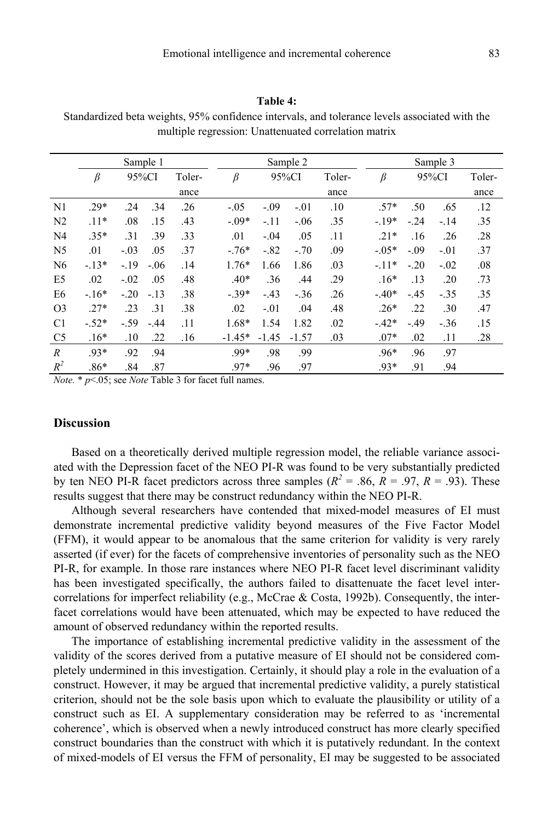### **Table 4:**

Standardized beta weights, 95% confidence intervals, and tolerance levels associated with the multiple regression: Unattenuated correlation matrix

|                  | Sample 1 |        |        |        |          |         | Sample 2 |        |         | Sample 3 |        |        |  |
|------------------|----------|--------|--------|--------|----------|---------|----------|--------|---------|----------|--------|--------|--|
|                  | $\beta$  | 95%CI  |        | Toler- | β        | 95%CI   |          | Toler- | β       | 95%CI    |        | Toler- |  |
|                  |          |        |        | ance   |          |         |          | ance   |         |          |        | ance   |  |
| N <sub>1</sub>   | $.29*$   | .24    | .34    | .26    | $-.05$   | $-.09$  | $-.01$   | .10    | $.57*$  | .50      | .65    | .12    |  |
| N <sub>2</sub>   | $.11*$   | .08    | .15    | .43    | $-.09*$  | $-.11$  | $-.06$   | .35    | $-19*$  | $-.24$   | $-.14$ | .35    |  |
| N <sub>4</sub>   | $.35*$   | .31    | .39    | .33    | .01      | $-.04$  | .05      | .11    | $.21*$  | .16      | .26    | .28    |  |
| N <sub>5</sub>   | .01      | $-.03$ | .05    | .37    | $-.76*$  | $-.82$  | $-.70$   | .09    | $-.05*$ | $-.09$   | $-.01$ | .37    |  |
| N <sub>6</sub>   | $-13*$   | $-.19$ | $-.06$ | .14    | $1.76*$  | 1.66    | 1.86     | .03    | $-11*$  | $-.20$   | $-.02$ | .08    |  |
| E <sub>5</sub>   | .02      | $-.02$ | .05    | .48    | $.40*$   | .36     | .44      | .29    | $.16*$  | .13      | .20    | .73    |  |
| E <sub>6</sub>   | $-16*$   | $-.20$ | $-.13$ | .38    | $-.39*$  | $-.43$  | $-.36$   | .26    | $-.40*$ | $-.45$   | $-.35$ | .35    |  |
| O <sub>3</sub>   | $.27*$   | .23    | .31    | .38    | .02      | $-.01$  | .04      | .48    | $.26*$  | .22      | .30    | .47    |  |
| C <sub>1</sub>   | $-.52*$  | $-.59$ | $-44$  | .11    | 1.68*    | 1.54    | 1.82     | .02    | $-.42*$ | $-.49$   | $-.36$ | .15    |  |
| C <sub>5</sub>   | $.16*$   | .10    | .22    | .16    | $-1.45*$ | $-1.45$ | $-1.57$  | .03    | $.07*$  | .02      | .11    | .28    |  |
| $\boldsymbol{R}$ | $.93*$   | .92    | .94    |        | $.99*$   | .98     | .99      |        | $.96*$  | .96      | .97    |        |  |
| $R^2$            | $.86*$   | .84    | .87    |        | $.97*$   | .96     | .97      |        | $.93*$  | .91      | .94    |        |  |

*Note.* \* *p*<.05; see *Note* Table 3 for facet full names.

# **Discussion**

Based on a theoretically derived multiple regression model, the reliable variance associated with the Depression facet of the NEO PI-R was found to be very substantially predicted by ten NEO PI-R facet predictors across three samples ( $R^2 = .86$ ,  $R = .97$ ,  $R = .93$ ). These results suggest that there may be construct redundancy within the NEO PI-R.

Although several researchers have contended that mixed-model measures of EI must demonstrate incremental predictive validity beyond measures of the Five Factor Model (FFM), it would appear to be anomalous that the same criterion for validity is very rarely asserted (if ever) for the facets of comprehensive inventories of personality such as the NEO PI-R, for example. In those rare instances where NEO PI-R facet level discriminant validity has been investigated specifically, the authors failed to disattenuate the facet level intercorrelations for imperfect reliability (e.g., McCrae & Costa, 1992b). Consequently, the interfacet correlations would have been attenuated, which may be expected to have reduced the amount of observed redundancy within the reported results.

The importance of establishing incremental predictive validity in the assessment of the validity of the scores derived from a putative measure of EI should not be considered completely undermined in this investigation. Certainly, it should play a role in the evaluation of a construct. However, it may be argued that incremental predictive validity, a purely statistical criterion, should not be the sole basis upon which to evaluate the plausibility or utility of a construct such as EI. A supplementary consideration may be referred to as 'incremental coherence', which is observed when a newly introduced construct has more clearly specified construct boundaries than the construct with which it is putatively redundant. In the context of mixed-models of EI versus the FFM of personality, EI may be suggested to be associated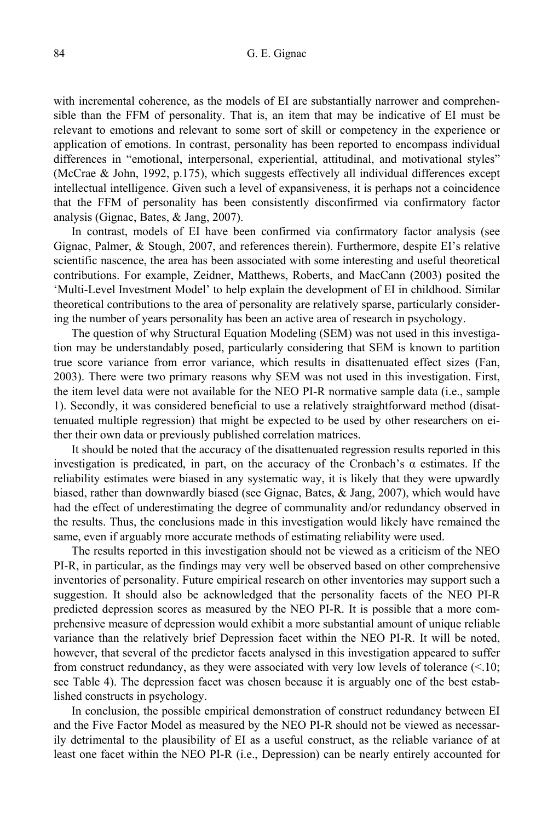with incremental coherence, as the models of EI are substantially narrower and comprehensible than the FFM of personality. That is, an item that may be indicative of EI must be relevant to emotions and relevant to some sort of skill or competency in the experience or application of emotions. In contrast, personality has been reported to encompass individual differences in "emotional, interpersonal, experiential, attitudinal, and motivational styles" (McCrae & John, 1992, p.175), which suggests effectively all individual differences except intellectual intelligence. Given such a level of expansiveness, it is perhaps not a coincidence that the FFM of personality has been consistently disconfirmed via confirmatory factor analysis (Gignac, Bates, & Jang, 2007).

In contrast, models of EI have been confirmed via confirmatory factor analysis (see Gignac, Palmer, & Stough, 2007, and references therein). Furthermore, despite EI's relative scientific nascence, the area has been associated with some interesting and useful theoretical contributions. For example, Zeidner, Matthews, Roberts, and MacCann (2003) posited the 'Multi-Level Investment Model' to help explain the development of EI in childhood. Similar theoretical contributions to the area of personality are relatively sparse, particularly considering the number of years personality has been an active area of research in psychology.

The question of why Structural Equation Modeling (SEM) was not used in this investigation may be understandably posed, particularly considering that SEM is known to partition true score variance from error variance, which results in disattenuated effect sizes (Fan, 2003). There were two primary reasons why SEM was not used in this investigation. First, the item level data were not available for the NEO PI-R normative sample data (i.e., sample 1). Secondly, it was considered beneficial to use a relatively straightforward method (disattenuated multiple regression) that might be expected to be used by other researchers on either their own data or previously published correlation matrices.

It should be noted that the accuracy of the disattenuated regression results reported in this investigation is predicated, in part, on the accuracy of the Cronbach's  $\alpha$  estimates. If the reliability estimates were biased in any systematic way, it is likely that they were upwardly biased, rather than downwardly biased (see Gignac, Bates, & Jang, 2007), which would have had the effect of underestimating the degree of communality and/or redundancy observed in the results. Thus, the conclusions made in this investigation would likely have remained the same, even if arguably more accurate methods of estimating reliability were used.

The results reported in this investigation should not be viewed as a criticism of the NEO PI-R, in particular, as the findings may very well be observed based on other comprehensive inventories of personality. Future empirical research on other inventories may support such a suggestion. It should also be acknowledged that the personality facets of the NEO PI-R predicted depression scores as measured by the NEO PI-R. It is possible that a more comprehensive measure of depression would exhibit a more substantial amount of unique reliable variance than the relatively brief Depression facet within the NEO PI-R. It will be noted, however, that several of the predictor facets analysed in this investigation appeared to suffer from construct redundancy, as they were associated with very low levels of tolerance  $\ll 10$ ; see Table 4). The depression facet was chosen because it is arguably one of the best established constructs in psychology.

In conclusion, the possible empirical demonstration of construct redundancy between EI and the Five Factor Model as measured by the NEO PI-R should not be viewed as necessarily detrimental to the plausibility of EI as a useful construct, as the reliable variance of at least one facet within the NEO PI-R (i.e., Depression) can be nearly entirely accounted for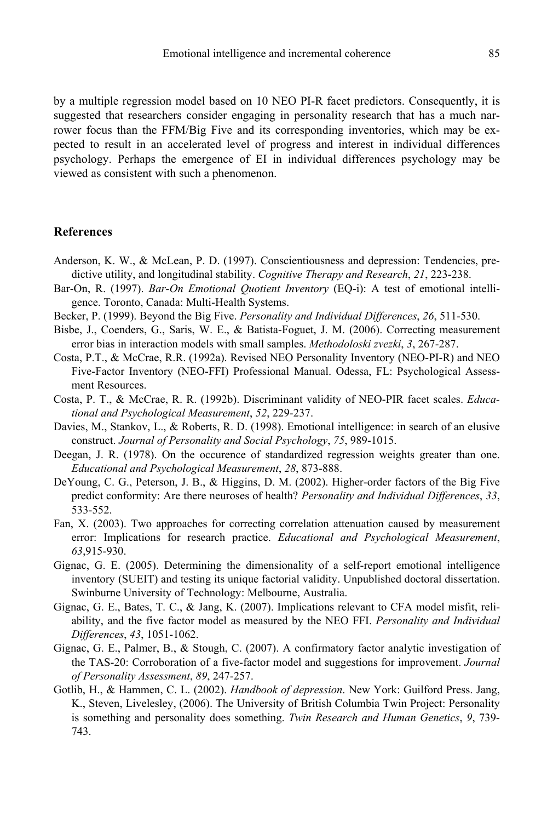by a multiple regression model based on 10 NEO PI-R facet predictors. Consequently, it is suggested that researchers consider engaging in personality research that has a much narrower focus than the FFM/Big Five and its corresponding inventories, which may be expected to result in an accelerated level of progress and interest in individual differences psychology. Perhaps the emergence of EI in individual differences psychology may be viewed as consistent with such a phenomenon.

# **References**

- Anderson, K. W., & McLean, P. D. (1997). Conscientiousness and depression: Tendencies, predictive utility, and longitudinal stability. *Cognitive Therapy and Research*, *21*, 223-238.
- Bar-On, R. (1997). *Bar-On Emotional Quotient Inventory* (EQ-i): A test of emotional intelligence. Toronto, Canada: Multi-Health Systems.
- Becker, P. (1999). Beyond the Big Five. *Personality and Individual Differences*, *26*, 511-530.
- Bisbe, J., Coenders, G., Saris, W. E., & Batista-Foguet, J. M. (2006). Correcting measurement error bias in interaction models with small samples. *Methodoloski zvezki*, *3*, 267-287.
- Costa, P.T., & McCrae, R.R. (1992a). Revised NEO Personality Inventory (NEO-PI-R) and NEO Five-Factor Inventory (NEO-FFI) Professional Manual. Odessa, FL: Psychological Assessment Resources.
- Costa, P. T., & McCrae, R. R. (1992b). Discriminant validity of NEO-PIR facet scales. *Educational and Psychological Measurement*, *52*, 229-237.
- Davies, M., Stankov, L., & Roberts, R. D. (1998). Emotional intelligence: in search of an elusive construct. *Journal of Personality and Social Psychology*, *75*, 989-1015.
- Deegan, J. R. (1978). On the occurence of standardized regression weights greater than one. *Educational and Psychological Measurement*, *28*, 873-888.
- DeYoung, C. G., Peterson, J. B., & Higgins, D. M. (2002). Higher-order factors of the Big Five predict conformity: Are there neuroses of health? *Personality and Individual Differences*, *33*, 533-552.
- Fan, X. (2003). Two approaches for correcting correlation attenuation caused by measurement error: Implications for research practice. *Educational and Psychological Measurement*, *63*,915-930.
- Gignac, G. E. (2005). Determining the dimensionality of a self-report emotional intelligence inventory (SUEIT) and testing its unique factorial validity. Unpublished doctoral dissertation. Swinburne University of Technology: Melbourne, Australia.
- Gignac, G. E., Bates, T. C., & Jang, K. (2007). Implications relevant to CFA model misfit, reliability, and the five factor model as measured by the NEO FFI. *Personality and Individual Differences*, *43*, 1051-1062.
- Gignac, G. E., Palmer, B., & Stough, C. (2007). A confirmatory factor analytic investigation of the TAS-20: Corroboration of a five-factor model and suggestions for improvement. *Journal of Personality Assessment*, *89*, 247-257.
- Gotlib, H., & Hammen, C. L. (2002). *Handbook of depression*. New York: Guilford Press. Jang, K., Steven, Livelesley, (2006). The University of British Columbia Twin Project: Personality is something and personality does something. *Twin Research and Human Genetics*, *9*, 739- 743.